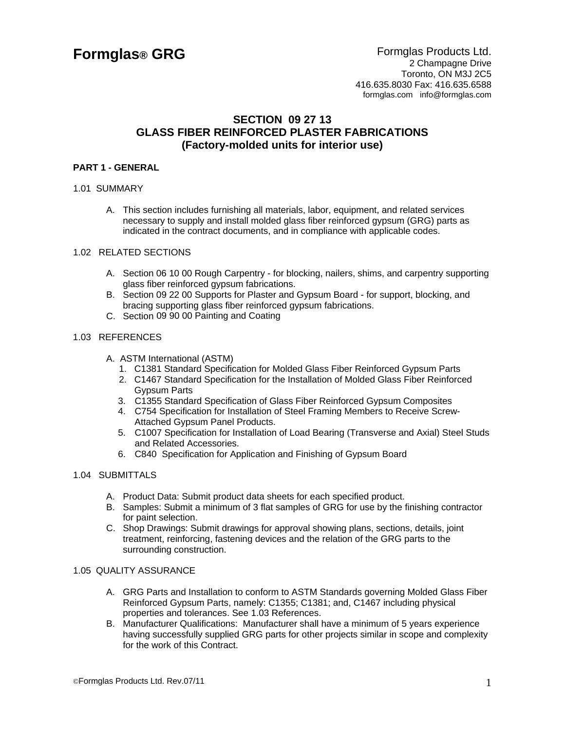# **SECTION 09 27 13 GLASS FIBER REINFORCED PLASTER FABRICATIONS (Factory-molded units for interior use)**

### **PART 1 - GENERAL**

### 1.01 SUMMARY

A. This section includes furnishing all materials, labor, equipment, and related services necessary to supply and install molded glass fiber reinforced gypsum (GRG) parts as indicated in the contract documents, and in compliance with applicable codes.

#### 1.02 RELATED SECTIONS

- A. Section 06 10 00 Rough Carpentry for blocking, nailers, shims, and carpentry supporting glass fiber reinforced gypsum fabrications.
- B. Section 09 22 00 Supports for Plaster and Gypsum Board for support, blocking, and bracing supporting glass fiber reinforced gypsum fabrications.
- C. Section 09 90 00 Painting and Coating

### 1.03 REFERENCES

- A. ASTM International (ASTM)
	- 1. C1381 Standard Specification for Molded Glass Fiber Reinforced Gypsum Parts
	- 2. C1467 Standard Specification for the Installation of Molded Glass Fiber Reinforced Gypsum Parts
	- 3. C1355 Standard Specification of Glass Fiber Reinforced Gypsum Composites
	- 4. C754 Specification for Installation of Steel Framing Members to Receive Screw-Attached Gypsum Panel Products.
	- 5. C1007 Specification for Installation of Load Bearing (Transverse and Axial) Steel Studs and Related Accessories.
	- 6. C840 Specification for Application and Finishing of Gypsum Board

### 1.04 SUBMITTALS

- A. Product Data: Submit product data sheets for each specified product.
- B. Samples: Submit a minimum of 3 flat samples of GRG for use by the finishing contractor for paint selection.
- C. Shop Drawings: Submit drawings for approval showing plans, sections, details, joint treatment, reinforcing, fastening devices and the relation of the GRG parts to the surrounding construction.

### 1.05 QUALITY ASSURANCE

- A. GRG Parts and Installation to conform to ASTM Standards governing Molded Glass Fiber Reinforced Gypsum Parts, namely: C1355; C1381; and, C1467 including physical properties and tolerances. See 1.03 References.
- B. Manufacturer Qualifications: Manufacturer shall have a minimum of 5 years experience having successfully supplied GRG parts for other projects similar in scope and complexity for the work of this Contract.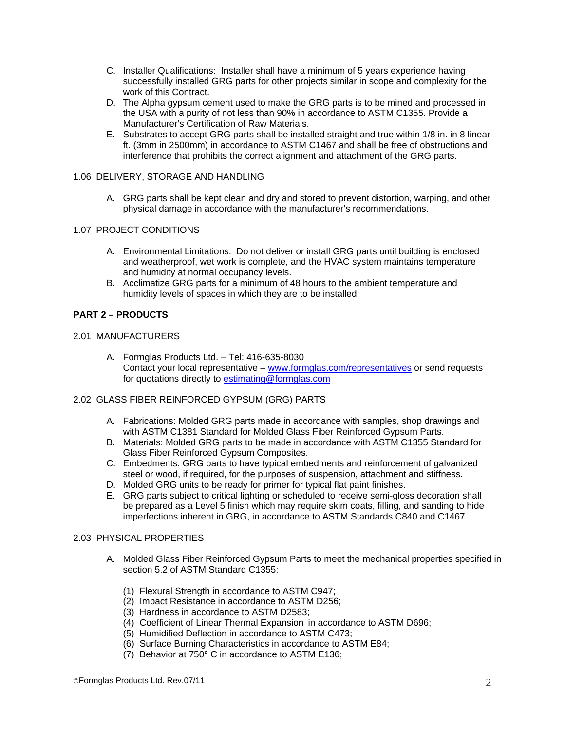- C. Installer Qualifications: Installer shall have a minimum of 5 years experience having successfully installed GRG parts for other projects similar in scope and complexity for the work of this Contract.
- D. The Alpha gypsum cement used to make the GRG parts is to be mined and processed in the USA with a purity of not less than 90% in accordance to ASTM C1355. Provide a Manufacturer's Certification of Raw Materials.
- E. Substrates to accept GRG parts shall be installed straight and true within 1/8 in. in 8 linear ft. (3mm in 2500mm) in accordance to ASTM C1467 and shall be free of obstructions and interference that prohibits the correct alignment and attachment of the GRG parts.

### 1.06 DELIVERY, STORAGE AND HANDLING

A. GRG parts shall be kept clean and dry and stored to prevent distortion, warping, and other physical damage in accordance with the manufacturer's recommendations.

### 1.07 PROJECT CONDITIONS

- A. Environmental Limitations: Do not deliver or install GRG parts until building is enclosed and weatherproof, wet work is complete, and the HVAC system maintains temperature and humidity at normal occupancy levels.
- B. Acclimatize GRG parts for a minimum of 48 hours to the ambient temperature and humidity levels of spaces in which they are to be installed.

# **PART 2 – PRODUCTS**

### 2.01 MANUFACTURERS

- A. Formglas Products Ltd. Tel: 416-635-8030 Contact your local representative – www.formglas.com/representatives or send requests for quotations directly to estimating@formglas.com
- 2.02 GLASS FIBER REINFORCED GYPSUM (GRG) PARTS
	- A. Fabrications: Molded GRG parts made in accordance with samples, shop drawings and with ASTM C1381 Standard for Molded Glass Fiber Reinforced Gypsum Parts.
	- B. Materials: Molded GRG parts to be made in accordance with ASTM C1355 Standard for Glass Fiber Reinforced Gypsum Composites.
	- C. Embedments: GRG parts to have typical embedments and reinforcement of galvanized steel or wood, if required, for the purposes of suspension, attachment and stiffness.
	- D. Molded GRG units to be ready for primer for typical flat paint finishes.
	- E. GRG parts subject to critical lighting or scheduled to receive semi-gloss decoration shall be prepared as a Level 5 finish which may require skim coats, filling, and sanding to hide imperfections inherent in GRG, in accordance to ASTM Standards C840 and C1467.

### 2.03 PHYSICAL PROPERTIES

- A. Molded Glass Fiber Reinforced Gypsum Parts to meet the mechanical properties specified in section 5.2 of ASTM Standard C1355:
	- (1) Flexural Strength in accordance to ASTM C947;
	- (2) Impact Resistance in accordance to ASTM D256;
	- (3) Hardness in accordance to ASTM D2583;
	- (4) Coefficient of Linear Thermal Expansion in accordance to ASTM D696;
	- (5) Humidified Deflection in accordance to ASTM C473;
	- (6) Surface Burning Characteristics in accordance to ASTM E84;
	- (7) Behavior at 750**°** C in accordance to ASTM E136;